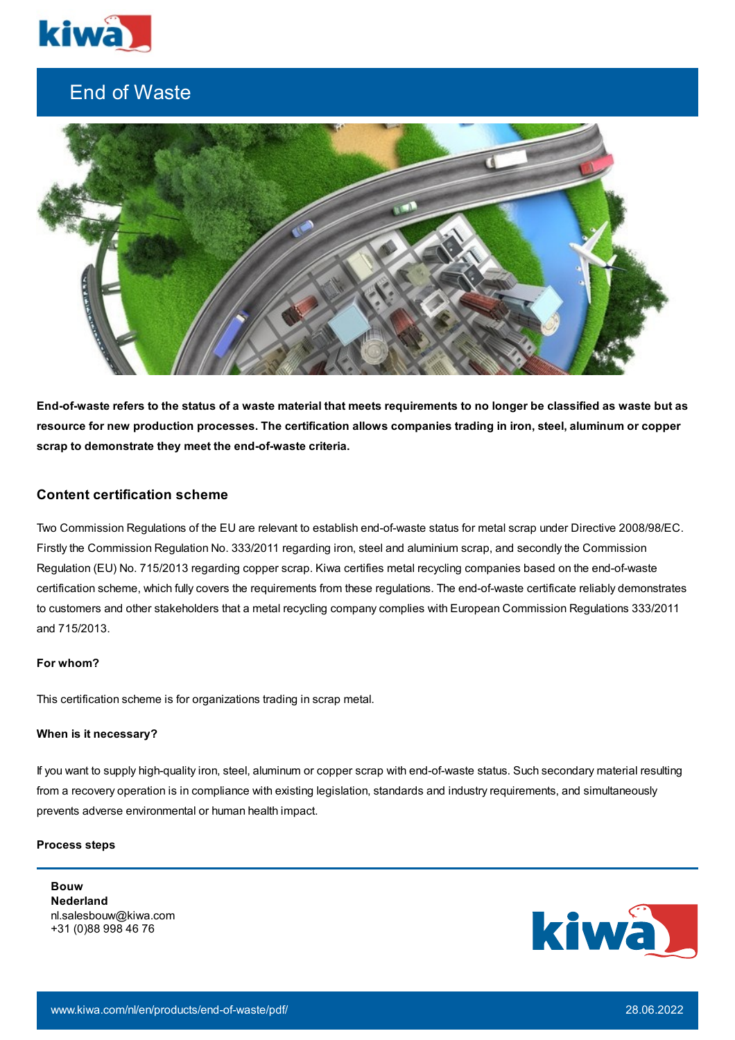

# End of Waste



End-of-waste refers to the status of a waste material that meets requirements to no longer be classified as waste but as resource for new production processes. The certification allows companies trading in iron, steel, aluminum or copper **scrap to demonstrate they meet the end-of-waste criteria.**

## **Content certification scheme**

Two Commission Regulations of the EU are relevant to establish end-of-waste status for metal scrap under Directive 2008/98/EC. Firstly the Commission Regulation No. 333/2011 regarding iron, steel and aluminium scrap, and secondly the Commission Regulation (EU) No. 715/2013 regarding copper scrap. Kiwa certifies metal recycling companies based on the end-of-waste certification scheme, which fully covers the requirements from these regulations. The end-of-waste certificate reliably demonstrates to customers and other stakeholders that a metal recycling company complies with European Commission Regulations 333/2011 and 715/2013.

#### **For whom?**

This certification scheme is for organizations trading in scrap metal.

## **When is it necessary?**

If you want to supply high-quality iron, steel, aluminum or copper scrap with end-of-waste status. Such secondary material resulting from a recovery operation is in compliance with existing legislation, standards and industry requirements, and simultaneously prevents adverse environmental or human health impact.

# **Process steps**

**Bouw Nederland** nl.salesbouw@kiwa.com +31 (0)88 998 46 76